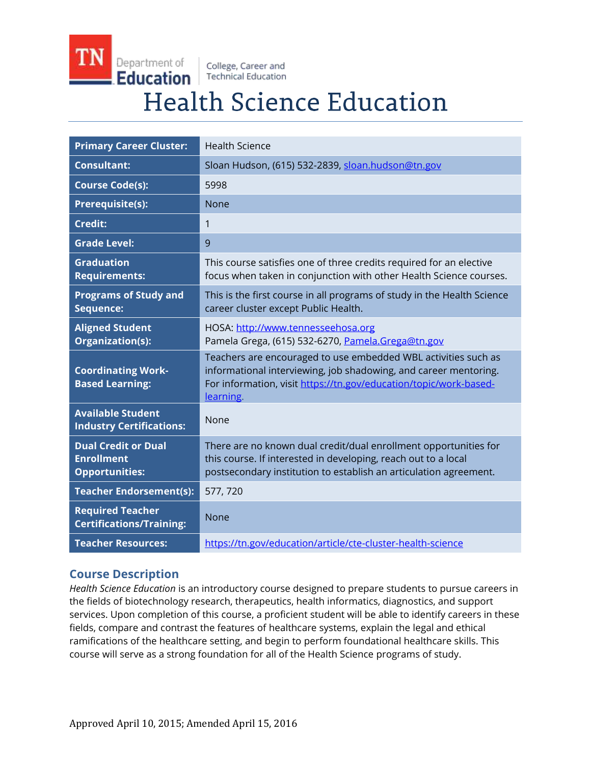Department of College, Career and **Education Technical Education** 

# **Health Science Education**

| <b>Primary Career Cluster:</b>                                           | <b>Health Science</b>                                                                                                                                                                                                |
|--------------------------------------------------------------------------|----------------------------------------------------------------------------------------------------------------------------------------------------------------------------------------------------------------------|
| <b>Consultant:</b>                                                       | Sloan Hudson, (615) 532-2839, sloan.hudson@tn.gov                                                                                                                                                                    |
| <b>Course Code(s):</b>                                                   | 5998                                                                                                                                                                                                                 |
| <b>Prerequisite(s):</b>                                                  | <b>None</b>                                                                                                                                                                                                          |
| <b>Credit:</b>                                                           | 1                                                                                                                                                                                                                    |
| <b>Grade Level:</b>                                                      | 9                                                                                                                                                                                                                    |
| <b>Graduation</b><br><b>Requirements:</b>                                | This course satisfies one of three credits required for an elective<br>focus when taken in conjunction with other Health Science courses.                                                                            |
| <b>Programs of Study and</b><br>Sequence:                                | This is the first course in all programs of study in the Health Science<br>career cluster except Public Health.                                                                                                      |
| <b>Aligned Student</b><br>Organization(s):                               | HOSA: http://www.tennesseehosa.org<br>Pamela Grega, (615) 532-6270, Pamela.Grega@tn.gov                                                                                                                              |
| <b>Coordinating Work-</b><br><b>Based Learning:</b>                      | Teachers are encouraged to use embedded WBL activities such as<br>informational interviewing, job shadowing, and career mentoring.<br>For information, visit https://tn.gov/education/topic/work-based-<br>learning. |
| <b>Available Student</b><br><b>Industry Certifications:</b>              | None                                                                                                                                                                                                                 |
| <b>Dual Credit or Dual</b><br><b>Enrollment</b><br><b>Opportunities:</b> | There are no known dual credit/dual enrollment opportunities for<br>this course. If interested in developing, reach out to a local<br>postsecondary institution to establish an articulation agreement.              |
| <b>Teacher Endorsement(s):</b>                                           | 577, 720                                                                                                                                                                                                             |
| <b>Required Teacher</b><br><b>Certifications/Training:</b>               | None                                                                                                                                                                                                                 |
| <b>Teacher Resources:</b>                                                | https://tn.gov/education/article/cte-cluster-health-science                                                                                                                                                          |

## **Course Description**

*Health Science Education* is an introductory course designed to prepare students to pursue careers in the fields of biotechnology research, therapeutics, health informatics, diagnostics, and support services. Upon completion of this course, a proficient student will be able to identify careers in these fields, compare and contrast the features of healthcare systems, explain the legal and ethical ramifications of the healthcare setting, and begin to perform foundational healthcare skills. This course will serve as a strong foundation for all of the Health Science programs of study.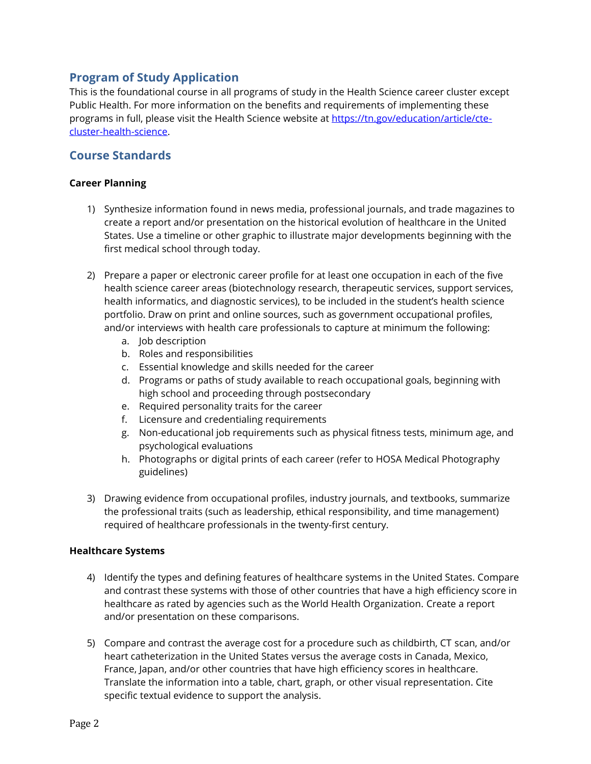## **Program of Study Application**

This is the foundational course in all programs of study in the Health Science career cluster except Public Health. For more information on the benefits and requirements of implementing these programs in full, please visit the Health Science website a[t https://tn.gov/education/article/cte](https://tn.gov/education/article/cte-cluster-health-science)[cluster-health-science.](https://tn.gov/education/article/cte-cluster-health-science)

### **Course Standards**

#### **Career Planning**

- 1) Synthesize information found in news media, professional journals, and trade magazines to create a report and/or presentation on the historical evolution of healthcare in the United States. Use a timeline or other graphic to illustrate major developments beginning with the first medical school through today.
- 2) Prepare a paper or electronic career profile for at least one occupation in each of the five health science career areas (biotechnology research, therapeutic services, support services, health informatics, and diagnostic services), to be included in the student's health science portfolio. Draw on print and online sources, such as government occupational profiles, and/or interviews with health care professionals to capture at minimum the following:
	- a. Job description
	- b. Roles and responsibilities
	- c. Essential knowledge and skills needed for the career
	- d. Programs or paths of study available to reach occupational goals, beginning with high school and proceeding through postsecondary
	- e. Required personality traits for the career
	- f. Licensure and credentialing requirements
	- g. Non-educational job requirements such as physical fitness tests, minimum age, and psychological evaluations
	- h. Photographs or digital prints of each career (refer to HOSA Medical Photography guidelines)
- 3) Drawing evidence from occupational profiles, industry journals, and textbooks, summarize the professional traits (such as leadership, ethical responsibility, and time management) required of healthcare professionals in the twenty-first century.

#### **Healthcare Systems**

- 4) Identify the types and defining features of healthcare systems in the United States. Compare and contrast these systems with those of other countries that have a high efficiency score in healthcare as rated by agencies such as the World Health Organization. Create a report and/or presentation on these comparisons.
- 5) Compare and contrast the average cost for a procedure such as childbirth, CT scan, and/or heart catheterization in the United States versus the average costs in Canada, Mexico, France, Japan, and/or other countries that have high efficiency scores in healthcare. Translate the information into a table, chart, graph, or other visual representation. Cite specific textual evidence to support the analysis.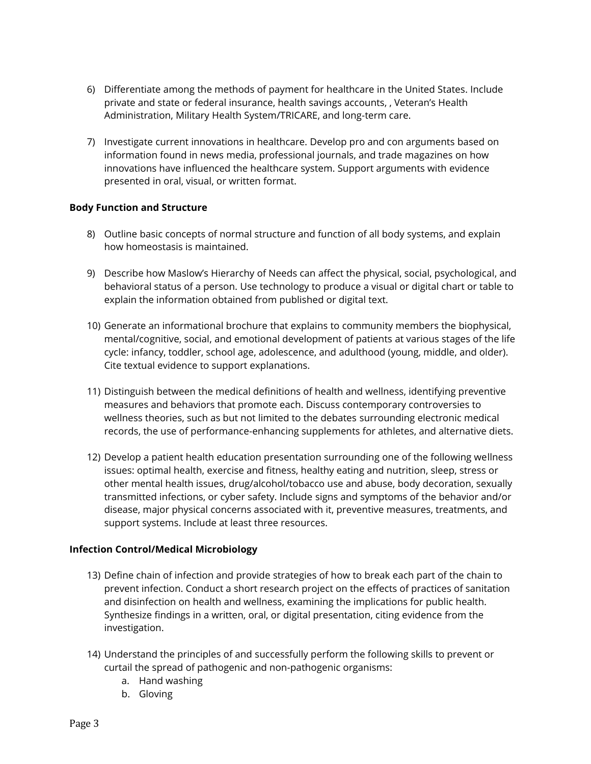- 6) Differentiate among the methods of payment for healthcare in the United States. Include private and state or federal insurance, health savings accounts, , Veteran's Health Administration, Military Health System/TRICARE, and long-term care.
- 7) Investigate current innovations in healthcare. Develop pro and con arguments based on information found in news media, professional journals, and trade magazines on how innovations have influenced the healthcare system. Support arguments with evidence presented in oral, visual, or written format.

#### **Body Function and Structure**

- 8) Outline basic concepts of normal structure and function of all body systems, and explain how homeostasis is maintained.
- 9) Describe how Maslow's Hierarchy of Needs can affect the physical, social, psychological, and behavioral status of a person. Use technology to produce a visual or digital chart or table to explain the information obtained from published or digital text.
- 10) Generate an informational brochure that explains to community members the biophysical, mental/cognitive, social, and emotional development of patients at various stages of the life cycle: infancy, toddler, school age, adolescence, and adulthood (young, middle, and older). Cite textual evidence to support explanations.
- 11) Distinguish between the medical definitions of health and wellness, identifying preventive measures and behaviors that promote each. Discuss contemporary controversies to wellness theories, such as but not limited to the debates surrounding electronic medical records, the use of performance-enhancing supplements for athletes, and alternative diets.
- 12) Develop a patient health education presentation surrounding one of the following wellness issues: optimal health, exercise and fitness, healthy eating and nutrition, sleep, stress or other mental health issues, drug/alcohol/tobacco use and abuse, body decoration, sexually transmitted infections, or cyber safety. Include signs and symptoms of the behavior and/or disease, major physical concerns associated with it, preventive measures, treatments, and support systems. Include at least three resources.

#### **Infection Control/Medical Microbiology**

- 13) Define chain of infection and provide strategies of how to break each part of the chain to prevent infection. Conduct a short research project on the effects of practices of sanitation and disinfection on health and wellness, examining the implications for public health. Synthesize findings in a written, oral, or digital presentation, citing evidence from the investigation.
- 14) Understand the principles of and successfully perform the following skills to prevent or curtail the spread of pathogenic and non-pathogenic organisms:
	- a. Hand washing
	- b. Gloving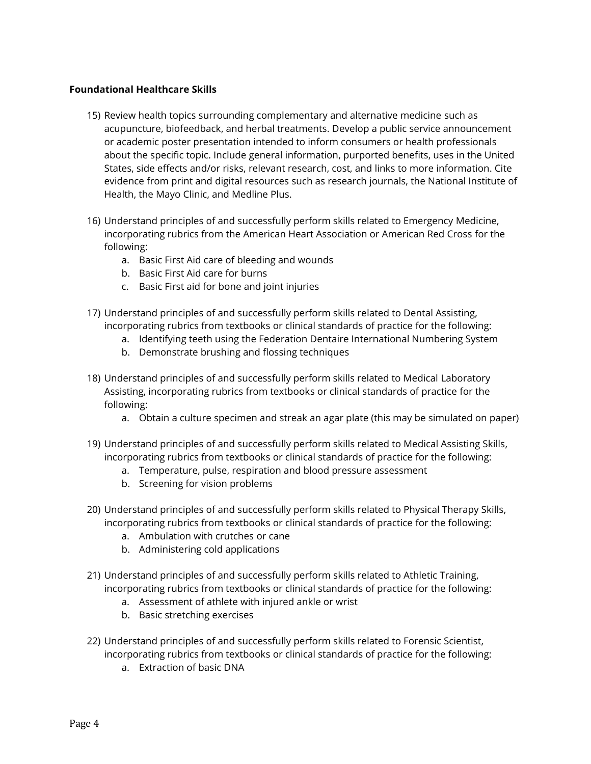#### **Foundational Healthcare Skills**

- 15) Review health topics surrounding complementary and alternative medicine such as acupuncture, biofeedback, and herbal treatments. Develop a public service announcement or academic poster presentation intended to inform consumers or health professionals about the specific topic. Include general information, purported benefits, uses in the United States, side effects and/or risks, relevant research, cost, and links to more information. Cite evidence from print and digital resources such as research journals, the National Institute of Health, the Mayo Clinic, and Medline Plus.
- 16) Understand principles of and successfully perform skills related to Emergency Medicine, incorporating rubrics from the American Heart Association or American Red Cross for the following:
	- a. Basic First Aid care of bleeding and wounds
	- b. Basic First Aid care for burns
	- c. Basic First aid for bone and joint injuries
- 17) Understand principles of and successfully perform skills related to Dental Assisting, incorporating rubrics from textbooks or clinical standards of practice for the following:
	- a. Identifying teeth using the Federation Dentaire International Numbering System
	- b. Demonstrate brushing and flossing techniques
- 18) Understand principles of and successfully perform skills related to Medical Laboratory Assisting, incorporating rubrics from textbooks or clinical standards of practice for the following:
	- a. Obtain a culture specimen and streak an agar plate (this may be simulated on paper)
- 19) Understand principles of and successfully perform skills related to Medical Assisting Skills, incorporating rubrics from textbooks or clinical standards of practice for the following:
	- a. Temperature, pulse, respiration and blood pressure assessment
	- b. Screening for vision problems
- 20) Understand principles of and successfully perform skills related to Physical Therapy Skills, incorporating rubrics from textbooks or clinical standards of practice for the following:
	- a. Ambulation with crutches or cane
	- b. Administering cold applications
- 21) Understand principles of and successfully perform skills related to Athletic Training, incorporating rubrics from textbooks or clinical standards of practice for the following:
	- a. Assessment of athlete with injured ankle or wrist
	- b. Basic stretching exercises
- 22) Understand principles of and successfully perform skills related to Forensic Scientist, incorporating rubrics from textbooks or clinical standards of practice for the following:
	- a. Extraction of basic DNA